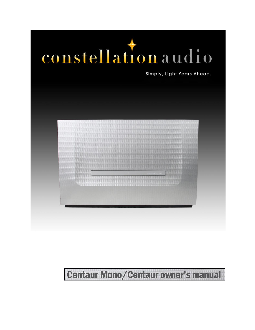# constellation audio

Simply, Light Years Ahead.



# **Centaur Mono/Centaur owner's manual**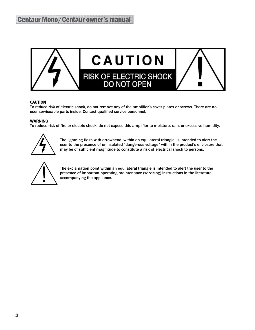

#### **CAUTION**

To reduce risk of electric shock, do not remove any of the amplifier's cover plates or screws. There are no user serviceable parts inside. Contact qualified service personnel.

#### **WARNING**

To reduce risk of fire or electric shock, do not expose this amplifier to moisture, rain, or excessive humidity.



The lightning flash with arrowhead, within an equilateral triangle, is intended to alert the user to the presence of uninsulated "dangerous voltage" within the product's enclosure that may be of sufficient magnitude to constitute a risk of electrical shock to persons.



The exclamation point within an equilateral triangle is intended to alert the user to the presence of important operating maintenance (servicing) instructions in the literature accompanying the appliance.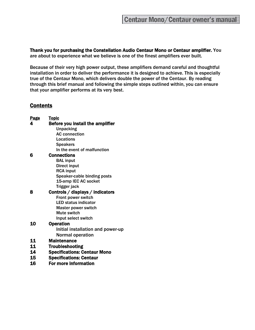Thank you for purchasing the Constellation Audio Centaur Mono or Centaur amplifier. You are about to experience what we believe is one of the finest amplifiers ever built.

Because of their very high power output, these amplifiers demand careful and thoughtful installation in order to deliver the performance it is designed to achieve. This is especially true of the Centaur Mono, which delivers double the power of the Centaur. By reading through this brief manual and following the simple steps outlined within, you can ensure that your amplifier performs at its very best.

#### **Contents**

| Page | <u>Topic</u>                        |
|------|-------------------------------------|
| 4    | Before you install the amplifier    |
|      | <b>Unpacking</b>                    |
|      | <b>AC connection</b>                |
|      | Locations                           |
|      | <b>Speakers</b>                     |
|      | In the event of malfunction         |
| 6    | Connections                         |
|      | <b>BAL input</b>                    |
|      | <b>Direct input</b>                 |
|      | <b>RCA input</b>                    |
|      | Speaker-cable binding posts         |
|      | 15-amp IEC AC socket                |
|      | Trigger jack                        |
| 8    | Controls / displays / indicators    |
|      | Front power switch                  |
|      | <b>LED status indicator</b>         |
|      | <b>Master power switch</b>          |
|      | Mute switch                         |
|      | Input select switch                 |
| 10   | <b>Operation</b>                    |
|      | Initial installation and power-up   |
|      | <b>Normal operation</b>             |
| 11   | <b>Maintenance</b>                  |
| 11   | <b>Troubleshooting</b>              |
| 14   | <b>Specifications: Centaur Mono</b> |
| 15   | <b>Specifications: Centaur</b>      |
|      |                                     |

16 For more information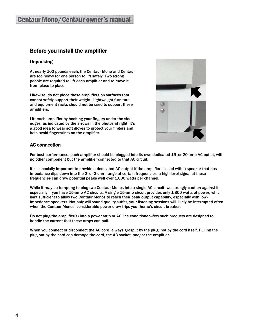#### Before you install the amplifier

#### Unpacking

At nearly 100 pounds each, the Centaur Mono and Centaur are too heavy for one person to lift safely. Two strong people are required to lift each amplifier and to move it from place to place.

Likewise, do not place these amplifiers on surfaces that cannot safely support their weight. Lightweight furniture and equipment racks should not be used to support these amplifiers.

Lift each amplifier by hooking your fingers under the side edges, as indicated by the arrows in the photos at right. It's a good idea to wear soft gloves to protect your fingers and help avoid fingerprints on the amplifier.



#### AC connection

For best performance, each amplifier should be plugged into its own dedicated 15- or 20-amp AC outlet, with no other component but the amplifier connected to that AC circuit.

It is especially important to provide a dedicated AC output if the amplifier is used with a speaker that has impedance dips down into the 2- or 3-ohm range at certain frequencies, a high-level signal at these frequencies can draw potential peaks well over 1,000 watts per channel.

While it may be tempting to plug two Centaur Monos into a single AC circuit, we strongly caution against it, especially if you have 15-amp AC circuits. A single 15-amp circuit provides only 1,800 watts of power, which isn't sufficient to allow two Centaur Monos to reach their peak output capability, especially with lowimpedance speakers. Not only will sound quality suffer, your listening sessions will likely be interrupted often when the Centaur Monos' considerable power draw trips your home's circuit breaker.

Do not plug the amplifier(s) into a power strip or AC line conditioner—few such products are designed to handle the current that these amps can pull.

When you connect or disconnect the AC cord, always grasp it by the plug, not by the cord itself. Pulling the plug out by the cord can damage the cord, the AC socket, and/or the amplifier.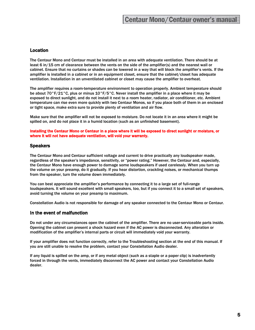#### Location

The Centaur Mono and Centaur must be installed in an area with adequate ventilation. There should be at least 6 in/15 cm of clearance between the vents on the side of the amplifier(s) and the nearest wall or cabinet. Ensure that no curtains or shades can be lowered in a way that will block the amplifier's vents. If the amplifier is installed in a cabinet or in an equipment closet, ensure that the cabinet/closet has adequate ventilation. Installation in an unventilated cabinet or closet may cause the amplifier to overheat.

The amplifier requires a room-temperature environment to operation properly. Ambient temperature should be about 70°F/21°C, plus or minus 10°F/5°C. Never install the amplifier in a place where it may be exposed to direct sunlight, and do not install it next to a room heater, radiator, air conditioner, etc. Ambient temperature can rise even more quickly with two Centaur Monos, so if you place both of them in an enclosed or tight space, make extra sure to provide plenty of ventilation and air flow.

Make sure that the amplifier will not be exposed to moisture. Do not locate it in an area where it might be spilled on, and do not place it in a humid location (such as an unfinished basement).

Installing the Centaur Mono or Centaur in a place where it will be exposed to direct sunlight or moisture, or where it will not have adequate ventilation, will void your warranty.

#### **Speakers**

The Centaur Mono and Centaur sufficient voltage and current to drive practically any loudspeaker made, regardless of the speaker's impedance, sensitivity, or "power rating." However, the Centaur and, especially, the Centaur Mono have enough power to damage some loudspeakers if used carelessly. When you turn up the volume on your preamp, do it gradually. If you hear distortion, crackling noises, or mechanical thumps from the speaker, turn the volume down immediately.

You can best appreciate the amplifier's performance by connecting it to a large set of full-range loudspeakers. It will sound excellent with small speakers, too, but if you connect it to a small set of speakers, avoid turning the volume on your preamp to maximum.

Constellation Audio is not responsible for damage of any speaker connected to the Centaur Mono or Centaur.

#### In the event of malfunction

Do not under any circumstances open the cabinet of the amplifier. There are no user-serviceable parts inside. Opening the cabinet can present a shock hazard even if the AC power is disconnected. Any alteration or modification of the amplifier's internal parts or circuit will immediately void your warranty.

If your amplifier does not function correctly, refer to the Troubleshooting section at the end of this manual. If you are still unable to resolve the problem, contact your Constellation Audio dealer.

If any liquid is spilled on the amp, or if any metal object (such as a staple or a paper clip) is inadvertently forced in through the vents, immediately disconnect the AC power and contact your Constellation Audio dealer.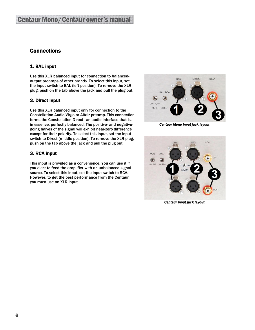#### **Connections**

#### 1. BAL input

Use this XLR balanced input for connection to balancedoutput preamps of other brands. To select this input, set the input switch to BAL (left position). To remove the XLR plug, push on the tab above the jack and pull the plug out.

#### 2. Direct input

Use this XLR balanced input only for connection to the Constellation Audio Virgo or Altair preamp. This connection forms the Constellation Direct—an audio interface that is, in essence, perfectly balanced. The positive- and negativegoing halves of the signal will exhibit near-zero difference except for their polarity. To select this input, set the input switch to Direct (middle position). To remove the XLR plug, push on the tab above the jack and pull the plug out.

#### 3. RCA input

This input is provided as a convenience. You can use it if you elect to feed the amplifier with an unbalanced signal source. To select this input, set the input switch to RCA. However, to get the best performance from the Centaur you must use an XLR input.



*Centaur Mono input jack layout* 



*Centaur input jack layout*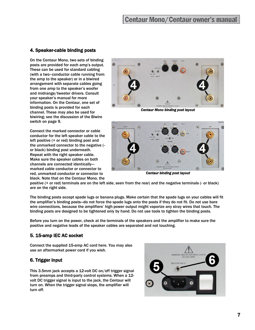#### 4. Speaker-cable binding posts

On the Centaur Mono, two sets of binding posts are provided for each amp's output. These can be used for standard cabling (with a two–conductor cable running from the amp to the speaker) or in a biwired arrangement with separate cables going from one amp to the speaker's woofer and midrange/tweeter drivers. Consult your speaker's manual for more information. On the Centaur, one set of binding posts is provided for each channel. These may also be used for biwiring; see the discussion of the Biwire switch on page 9.

Connect the marked connector or cable conductor for the left speaker cable to the left positive (+ or red) binding post and the unmarked connector to the negative ( or black) binding post underneath. Repeat with the right speaker cable. Make sure the speaker cables on both channels are connected identically marked cable conductor or connector to red, unmarked conductor or connector to black. Note that on the Centaur Mono, the



*Centaur Mono binding post layout*



*Centaur binding post layout*

positive (+ or red) terminals are on the left side, seen from the rear) and the negative terminals (- or black) are on the right side.

The binding posts accept spade lugs or banana plugs. Make certain that the spade lugs on your cables will fit the amplifier's binding posts—do not force the spade lugs onto the posts if they do not fit. Do not use bare wire connections, because the amplifiers' high power output might vaporize any stray wires that touch. The binding posts are designed to be tightened only by hand. Do not use tools to tighten the binding posts.

Before you turn on the power, check at the terminals of the speakers and the amplifier to make sure the positive and negative leads of the speaker cables are separated and not touching.

#### 5. 15-amp IEC AC socket

Connect the supplied 15-amp AC cord here. You may also use an aftermarket power cord if you wish.

#### 6. Trigger input

This 3.5mm jack accepts a 12-volt DC on/off trigger signal from preamps and third-party control systems. When a 12 volt DC trigger signal is input to the jack, the Centaur will turn on. When the trigger signal stops, the amplifier will turn off.

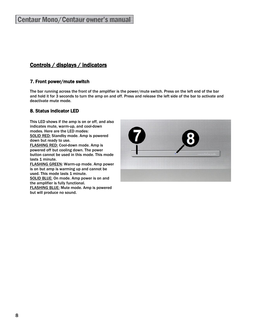### Controls / displays / indicators

#### 7. Front power/mute switch

The bar running across the front of the amplifier is the power/mute switch. Press on the left end of the bar and hold it for 3 seconds to turn the amp on and off. Press and release the left side of the bar to activate and deactivate mute mode.

#### 8. Status indicator LED

This LED shows if the amp is on or off, and also indicates mute, warm-up, and cool-down modes. Here are the LED modes: SOLID RED: Standby mode. Amp is powered down but ready to use. FLASHING RED: Cool-down mode. Amp is powered off but cooling down. The power button cannot be used in this mode. This mode lasts 1 minute. FLASHING GREEN: Warm-up mode. Amp power is on but amp is warming up and cannot be used. This mode lasts 1 minute. SOLID BLUE: On mode. Amp power is on and the amplifier is fully functional.

FLASHING BLUE: Mute mode. Amp is powered but will produce no sound.

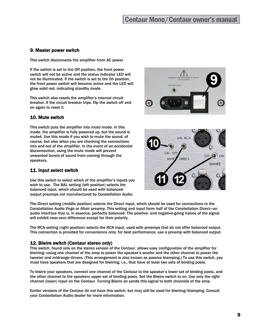#### 9. Master power switch

This switch disconnects the amplifier from AC power.

If the switch is set to the Off position, the front power switch will not be active and the status indicator LED will not be illuminated. If the switch is set to the On position, the front power switch will become active and the LED will glow solid red, indicating standby mode.

This switch also resets the amplifier's internal circuit breaker. If the circuit breaker trips, flip the switch off and on again to reset it.

#### 10. Mute switch

This switch puts the amplifier into mute mode. In this mode, the amplifier is fully powered up, but the sound is muted. Use this mode if you wish to mute the sound, of course, but also when you are checking the connections into and out of the amplifier. In the event of an accidental disconnection, using the mute mode will prevent unwanted bursts of sound from coming through the speakers.

#### 11. Input select switch

Use this switch to select which of the amplifier's inputs you wish to use. The BAL setting (left position) selects the balanced input, which should be used with balancedoutput preamps not manufactured by Constellation Audio.

The Direct setting (middle position) selects the Direct input, which should be used for connections to the Constellation Audio Virgo or Altair preamp. This setting and input form half of the Constellation Direct—an audio interface that is, in essence, perfectly balanced. The positive- and negative-going halves of the signal will exhibit near-zero difference except for their polarity.

The RCA setting (right position) selects the RCA input, used with preamps that do not offer balanced output. This connection is provided for convenience only; for best performance, use a preamp with balanced output.

#### 12. Biwire switch (Centaur stereo only)

This switch, found only on the stereo version of the Centaur, allows easy configuration of the amplifier for biwiring—using one channel of the amp to power the speaker's woofer and the other channel to power the tweeter and midrange drivers. (This arrangement is also known as passive biamping.) To use this switch, you must have speakers that are designed for biwiring, i.e., that have at least two sets of binding posts.

To biwire your speakers, connect one channel of the Centaur to the speaker's lower set of binding posts, and the other channel to the speakers upper set of binding posts. Set the Biwire switch to on. Use only the rightchannel (lower) input on the Centaur. Turning Biwire on sends this signal to both channels of the amp.

Earlier versions of the Centaur do not have this switch, but may still be used for biwiring/biamping. Consult your Constellation Audio dealer for more information.



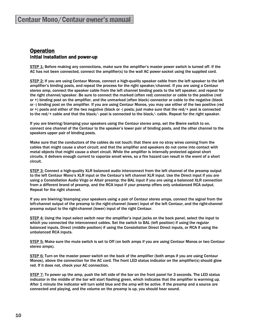#### **Operation** Initial installation and power-up

STEP 1: Before making any connections, make sure the amplifier's master power switch is turned off. If the AC has not been connected, connect the amplifier(s) to the wall AC power socket using the supplied cord.

STEP 2: If you are using Centaur Monos, connect a high-quality speaker cable from the left speaker to the left amplifier's binding posts, and repeat the process for the right speaker/channel. If you are using a Centaur stereo amp, connect the speaker cable from the left channel binding posts to the left speaker, and repeat for the right channel/speaker. Be sure to connect the marked (often red) connector or cable to the positive (red or +) binding post on the amplifier, and the unmarked (often black) connector or cable to the negative (black or -) binding post on the amplifier. If you are using Centaur Monos, you may use either of the two positive (red or +) posts and either of the two negative (black or -) posts; just make sure that the red/+ post is connected to the red/+ cable and that the black/- post is connected to the black/- cable. Repeat for the right speaker.

If you are biwiring/biamping your speakers using the Centaur stereo amp, set the Biwire switch to on, connect one channel of the Centaur to the speaker's lower pair of binding posts, and the other channel to the speakers upper pair of binding posts.

Make sure that the conductors of the cables do not touch; that there are no stray wires coming from the cables that might cause a short circuit; and that the amplifier and speakers do not come into contact with metal objects that might cause a short circuit. While the amplifier is internally protected against short circuits, it delivers enough current to vaporize small wires, so a fire hazard can result in the event of a short circuit.

STEP 3: Connect a high-quality XLR balanced audio interconnect from the left channel of the preamp output to the left Centaur Mono's XLR input or the Centaur's left channel XLR input. Use the Direct input if you are using a Constellation Audio Virgo or Altair preamp; the BAL input if you are using a balanced XLR connection from a different brand of preamp, and the RCA input if your preamp offers only unbalanced RCA output. Repeat for the right channel.

If you are biwiring/biamping your speakers using a pair of Centaur stereo amps, connect the signal from the left-channel output of the preamp to the right-channel (lower) input of the left Centaur, and the right-channel preamp output to the right-channel (lower) input of the right Centaur.

STEP 4: Using the input select switch near the amplifier's input jacks on the back panel, select the input to which you connected the interconnect cables. Set the switch to BAL (left position) if using the regular balanced inputs, Direct (middle position) if using the Constellation Direct Direct inputs, or RCA if using the unbalanced RCA inputs.

STEP 5: Make sure the mute switch is set to Off (on both amps if you are using Centaur Monos or two Centaur stereo amps).

STEP 6: Turn on the master power switch on the back of the amplifier (both amps if you are using Centaur Monos), above the connection for the AC cord. The front LED status indicator on the amplifier(s) should glow red. If it does not, check your AC connection.

STEP 7: To power up the amp, push the left side of the bar on the front panel for 3 seconds. The LED status indicator in the middle of the bar will start flashing green, which indicates that the amplifier is warming up. After 1 minute the indicator will turn solid blue and the amp will be active. If the preamp and a source are connected and playing, and the volume on the preamp is up, you should hear sound.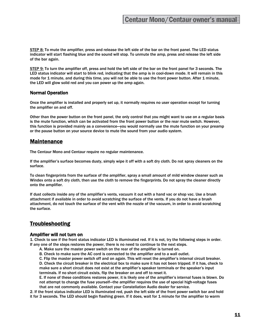STEP 8: To mute the amplifier, press and release the left side of the bar on the front panel. The LED status indicator will start flashing blue and the sound will stop. To unmute the amp, press and release the left side of the bar again.

STEP 9: To turn the amplifier off, press and hold the left side of the bar on the front panel for 3 seconds. The LED status indicator will start to blink red, indicating that the amp is in cool-down mode. It will remain in this mode for 1 minute, and during this time, you will not be able to use the front power button. After 1 minute, the LED will glow solid red and you can power up the amp again.

#### Normal Operation

Once the amplifier is installed and properly set up, it normally requires no user operation except for turning the amplifier on and off.

Other than the power button on the front panel, the only control that you might want to use on a regular basis is the mute function, which can be activated from the front power button or the rear mute switch. However, this function is provided mainly as a convenience—you would normally use the mute function on your preamp or the pause button on your source device to mute the sound from your audio system.

#### Maintenance

The Centaur Mono and Centaur require no regular maintenance.

If the amplifier's surface becomes dusty, simply wipe it off with a soft dry cloth. Do not spray cleaners on the surface.

To clean fingerprints from the surface of the amplifier, spray a small amount of mild window cleaner such as Windex onto a soft dry cloth, then use the cloth to remove the fingerprints. Do not spray the cleaner directly onto the amplifier.

If dust collects inside any of the amplifier's vents, vacuum it out with a hand vac or shop vac. Use a brush attachment if available in order to avoid scratching the surface of the vents. If you do not have a brush attachment, do not touch the surface of the vent with the nozzle of the vacuum, in order to avoid scratching the surface.

#### **Troubleshooting**

#### Amplifier will not turn on

1. Check to see if the front status indicator LED is illuminated red. If it is not, try the following steps in order. If any one of the steps restores the power, there is no need to continue to the next steps.

- A. Make sure the master power switch on the rear of the amplifier is turned on.
- B. Check to make sure the AC cord is connected to the amplifier and to a wall outlet.

C. Flip the master power switch off and on again. This will reset the amplifier's internal circuit breaker.

D. Check the circuit breaker in the electrical box to make sure it has not been tripped. If it has, check to make sure a short circuit does not exist at the amplifier's speaker terminals or the speaker's input terminals. If no short circuit exists, flip the breaker on and off to reset it.

E. If none of these conditions restores power, it is likely one of the amplifier's internal fuses is blown. Do not attempt to change the fuse yourself—the amplifier requires the use of special high-voltage fuses that are not commonly available. Contact your Constellation Audio dealer for service.

2. If the front status indicator LED is illuminated red, push the left side of the front power switch bar and hold it for 3 seconds. The LED should begin flashing green. If it does, wait for 1 minute for the amplifier to warm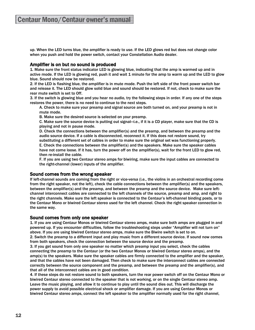up. When the LED turns blue, the amplifier is ready to use. If the LED glows red but does not change color when you push and hold the power switch, contact your Constellation Audio dealer.

#### Amplifier is on but no sound is produced

1. Make sure the front status indicator LED is glowing blue, indicating that the amp is warmed up and in active mode. If the LED is glowing red, push it and wait 1 minute for the amp to warm up and the LED to glow blue. Sound should now be restored.

2. If the LED is flashing blue, the amplifier is in mute mode. Push the left side of the front power switch bar and release it. The LED should glow solid blue and sound should be restored. If not, check to make sure the rear mute switch is set to Off.

3. If the switch is glowing blue and you hear no audio, try the following steps in order. If any one of the steps restores the power, there is no need to continue to the next steps.

A. Check to make sure your preamp and signal source are both turned on, and your preamp is not in mute mode.

B. Make sure the desired source is selected on your preamp.

C. Make sure the source device is putting out signal—i.e., if it is a CD player, make sure that the CD is playing and not in pause mode.

D. Check the connections between the amplifier(s) and the preamp, and between the preamp and the audio source device. If a cable is disconnected, reconnect it. If this does not restore sound, try substituting a different set of cables in order to make sure the original set was functioning properly. E. Check the connections between the amplifier(s) and the speakers. Make sure the speaker cables have not come loose. If it has, turn the power off on the amplifier(s), wait for the front LED to glow red, then re-install the cable.

F. If you are using two Centaur stereo amps for biwiring, make sure the input cables are connected to the right-channel (lower) inputs of the amplifier.

#### Sound comes from the wrong speaker

If left-channel sounds are coming from the right or vice-versa (i.e., the violins in an orchestral recording come from the right speaker, not the left), check the cable connections between the amplifier(s) and the speakers, between the amplifier(s) and the preamp, and between the preamp and the source device. Make sure leftchannel interconnect cables are connected to the left channels of the source, preamp and amp, and right to the right channels. Make sure the left speaker is connected to the Centaur's left-channel binding posts, or to the Centaur Mono or biwired Centaur stereo used for the left channel. Check the right speaker connection in the same way.

#### Sound comes from only one speaker

1. If you are using Centaur Monos or biwired Centaur stereo amps, make sure both amps are plugged in and powered up. If you encounter difficulties, follow the troubleshooting steps under "Amplifier will not turn on" above. If you are using biwired Centaur stereo amps, make sure the Biwire switch is set to on.

2. Switch the preamp to a different input and play music from a different source device. If sound now comes from both speakers, check the connection between the source device and the preamp.

3. If you get sound from only one speaker no matter which preamp input you select, check the cables connecting the preamp to the Centaur (or the two Centaur Monos or biwired Centaur stereo amps), and the amp(s) to the speakers. Make sure the speaker cables are firmly connected to the amplifier and the speaker, and that the cables have not been damaged. Then check to make sure the interconnect cables are connected correctly between the source component and the preamp, and between the preamp and the amplifier(s), and that all of the interconnect cables are in good condition.

4. If these steps do not restore sound to both speakers, turn the rear power switch off on the Centaur Mono or biwired Centaur stereo connected to the speaker that is not working, or on the single Centaur stereo amp. Leave the music playing, and allow it to continue to play until the sound dies out. This will discharge the power supply to avoid possible electrical shock or amplifier damage. If you are using Centaur Monos or biwired Centaur stereo amps, connect the left speaker to the amplifier normally used for the right channel,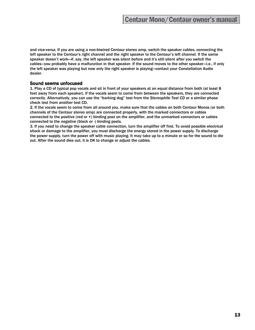and vice-versa. If you are using a non-biwired Centaur stereo amp, switch the speaker cables, connecting the left speaker to the Centaur's right channel and the right speaker to the Centaur's left channel. If the same speaker doesn't work—if, say, the left speaker was silent before and it's still silent after you switch the cables—you probably have a malfunction in that speaker. If the sound moves to the other speaker—i.e., if only the left speaker was playing but now only the right speaker is playing—contact your Constellation Audio dealer.

#### Sound seems unfocused

1. Play a CD of typical pop vocals and sit in front of your speakers at an equal distance from both (at least 8 feet away from each speaker). If the vocals seem to come from between the speakers, they are connected correctly. Alternatively, you can use the "barking dog" test from the *Stereophile Test CD* or a similar phase check test from another test CD.

2. If the vocals seem to come from all around you, make sure that the cables on both Centaur Monos (or both channels of the Centaur stereo amp) are connected properly, with the marked connectors or cables connected to the positive (red or +) binding post on the amplifier, and the unmarked connectors or cables connected to the negative (black or -) binding posts.

3. If you need to change the speaker cable connection, turn the amplifier off first. To avoid possible electrical shock or damage to the amplifier, you must discharge the energy stored in the power supply. To discharge the power supply, turn the power off with music playing. It may take up to a minute or so for the sound to die out. After the sound dies out, it is OK to change or adjust the cables.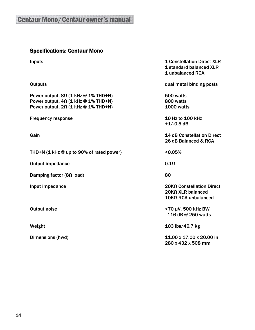## Specifications: Centaur Mono

| <b>Inputs</b>                                                                                                                          | <b>1 Constellation Direct XLR</b><br>1 standard balanced XLR<br>1 unbalanced RCA |
|----------------------------------------------------------------------------------------------------------------------------------------|----------------------------------------------------------------------------------|
| <b>Outputs</b>                                                                                                                         | dual metal binding posts                                                         |
| Power output, $8\Omega$ (1 kHz @ 1% THD+N)<br>Power output, $4\Omega$ (1 kHz @ 1% THD+N)<br>Power output, $2\Omega$ (1 kHz @ 1% THD+N) | 500 watts<br>800 watts<br>1000 watts                                             |
| <b>Frequency response</b>                                                                                                              | 10 Hz to 100 kHz<br>$+1/-0.5$ dB                                                 |
| Gain                                                                                                                                   | <b>14 dB Constellation Direct</b><br>26 dB Balanced & RCA                        |
| THD+N $(1 \text{ kHz} \otimes \text{up to } 90\% \text{ of rated power})$                                                              | < 0.05%                                                                          |
| <b>Output impedance</b>                                                                                                                | $0.1\Omega$                                                                      |
| Damping factor ( $8\Omega$ load)                                                                                                       | 80                                                                               |
| Input impedance                                                                                                                        | 20KΩ Constellation Direct<br>$20$ KΩ XLR balanced<br>10KΩ RCA unbalanced         |
| <b>Output noise</b>                                                                                                                    | <70 µV, 500 kHz BW<br>-116 dB @ 250 watts                                        |
| Weight                                                                                                                                 | 103 lbs/46.7 kg                                                                  |
| Dimensions (hwd)                                                                                                                       | 11.00 x 17.00 x 20.00 in<br>280 x 432 x 508 mm                                   |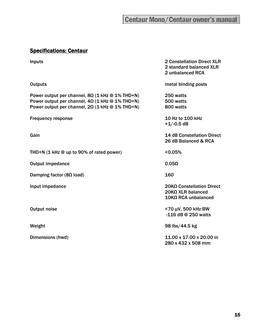## Specifications: Centaur

| <b>Inputs</b>                                                                                                                                                              | <b>2 Constellation Direct XLR</b><br>2 standard balanced XLR<br>2 unbalanced RCA |
|----------------------------------------------------------------------------------------------------------------------------------------------------------------------------|----------------------------------------------------------------------------------|
| <b>Outputs</b>                                                                                                                                                             | metal binding posts                                                              |
| Power output per channel, $8\Omega$ (1 kHz @ 1% THD+N)<br>Power output per channel, $4\Omega$ (1 kHz @ 1% THD+N)<br>Power output per channel, $2\Omega$ (1 kHz @ 1% THD+N) | 250 watts<br>500 watts<br>800 watts                                              |
| <b>Frequency response</b>                                                                                                                                                  | 10 Hz to 100 kHz<br>$+1/-0.5$ dB                                                 |
| Gain                                                                                                                                                                       | <b>14 dB Constellation Direct</b><br>26 dB Balanced & RCA                        |
| THD+N $(1 \text{ kHz} \otimes \text{up to } 90\% \text{ of rated power})$                                                                                                  | < 0.05%                                                                          |
| <b>Output impedance</b>                                                                                                                                                    | $0.05\Omega$                                                                     |
| Damping factor ( $8\Omega$ load)                                                                                                                                           | 160                                                                              |
| Input impedance                                                                                                                                                            | 20ΚΩ Constellation Direct<br>$20$ KΩ XLR balanced<br>$10$ KΩ RCA unbalanced      |
| <b>Output noise</b>                                                                                                                                                        | <70 µV, 500 kHz BW<br>-116 dB @ 250 watts                                        |
| Weight                                                                                                                                                                     | 98 lbs/44.5 kg                                                                   |
| Dimensions (hwd)                                                                                                                                                           | 11.00 x 17.00 x 20.00 in<br>280 x 432 x 508 mm                                   |